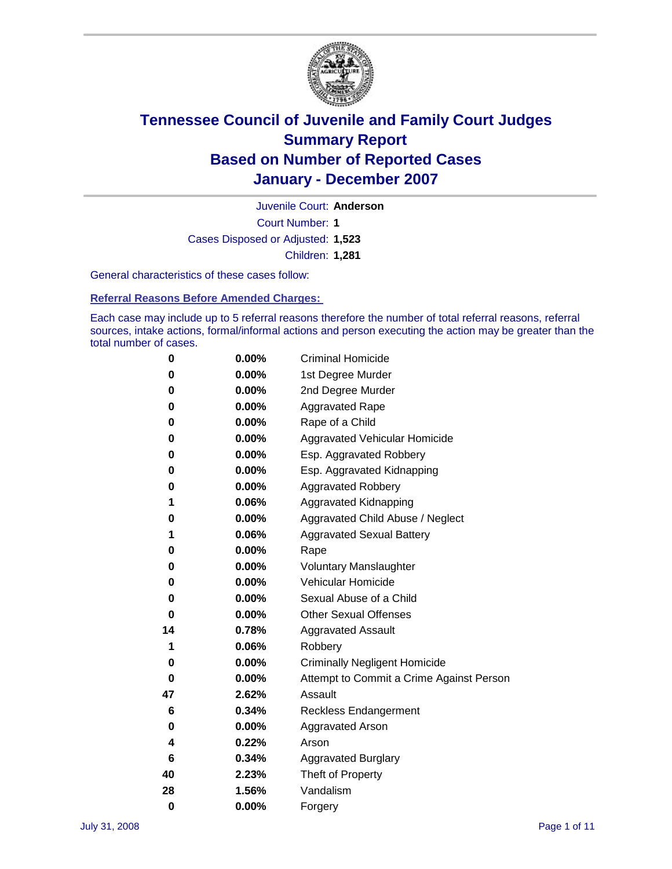

Court Number: **1** Juvenile Court: **Anderson** Cases Disposed or Adjusted: **1,523** Children: **1,281**

General characteristics of these cases follow:

**Referral Reasons Before Amended Charges:** 

Each case may include up to 5 referral reasons therefore the number of total referral reasons, referral sources, intake actions, formal/informal actions and person executing the action may be greater than the total number of cases.

| 0  | $0.00\%$ | <b>Criminal Homicide</b>                 |
|----|----------|------------------------------------------|
| 0  | 0.00%    | 1st Degree Murder                        |
| 0  | $0.00\%$ | 2nd Degree Murder                        |
| 0  | 0.00%    | <b>Aggravated Rape</b>                   |
| 0  | 0.00%    | Rape of a Child                          |
| 0  | $0.00\%$ | Aggravated Vehicular Homicide            |
| 0  | 0.00%    | Esp. Aggravated Robbery                  |
| 0  | $0.00\%$ | Esp. Aggravated Kidnapping               |
| 0  | 0.00%    | <b>Aggravated Robbery</b>                |
| 1  | 0.06%    | Aggravated Kidnapping                    |
| 0  | $0.00\%$ | Aggravated Child Abuse / Neglect         |
| 1  | 0.06%    | <b>Aggravated Sexual Battery</b>         |
| 0  | 0.00%    | Rape                                     |
| 0  | 0.00%    | <b>Voluntary Manslaughter</b>            |
| 0  | 0.00%    | Vehicular Homicide                       |
| 0  | $0.00\%$ | Sexual Abuse of a Child                  |
| 0  | 0.00%    | <b>Other Sexual Offenses</b>             |
| 14 | 0.78%    | <b>Aggravated Assault</b>                |
| 1  | 0.06%    | Robbery                                  |
| 0  | 0.00%    | <b>Criminally Negligent Homicide</b>     |
| 0  | 0.00%    | Attempt to Commit a Crime Against Person |
| 47 | 2.62%    | Assault                                  |
| 6  | 0.34%    | <b>Reckless Endangerment</b>             |
| 0  | 0.00%    | <b>Aggravated Arson</b>                  |
| 4  | 0.22%    | Arson                                    |
| 6  | 0.34%    | <b>Aggravated Burglary</b>               |
| 40 | 2.23%    | Theft of Property                        |
| 28 | 1.56%    | Vandalism                                |
| 0  | 0.00%    | Forgery                                  |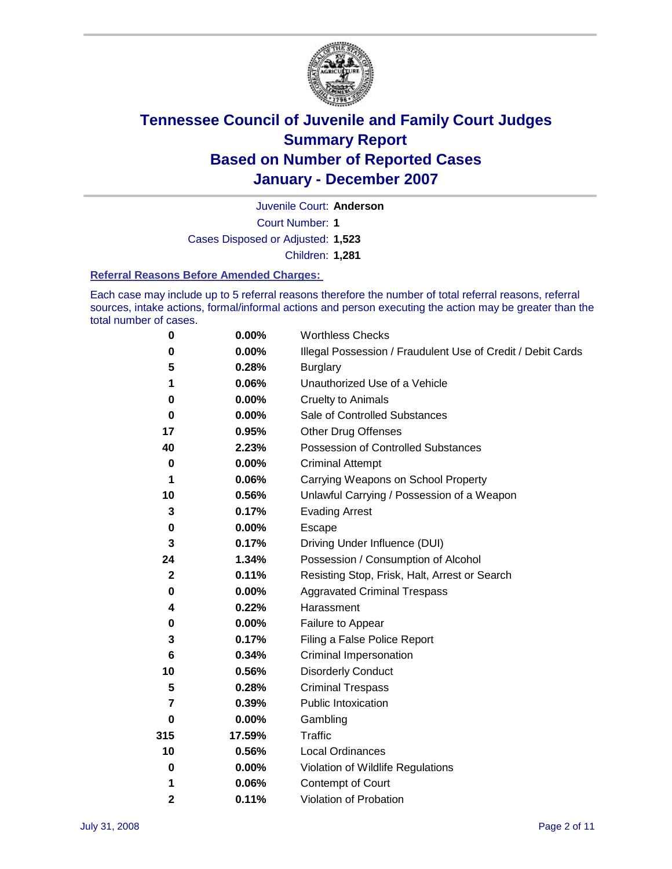

Juvenile Court: **Anderson**

Court Number: **1**

Cases Disposed or Adjusted: **1,523**

Children: **1,281**

### **Referral Reasons Before Amended Charges:**

Each case may include up to 5 referral reasons therefore the number of total referral reasons, referral sources, intake actions, formal/informal actions and person executing the action may be greater than the total number of cases.

| $\pmb{0}$    | 0.00%    | <b>Worthless Checks</b>                                     |
|--------------|----------|-------------------------------------------------------------|
| 0            | 0.00%    | Illegal Possession / Fraudulent Use of Credit / Debit Cards |
| 5            | 0.28%    | <b>Burglary</b>                                             |
| 1            | 0.06%    | Unauthorized Use of a Vehicle                               |
| 0            | 0.00%    | <b>Cruelty to Animals</b>                                   |
| $\bf{0}$     | $0.00\%$ | Sale of Controlled Substances                               |
| 17           | 0.95%    | <b>Other Drug Offenses</b>                                  |
| 40           | 2.23%    | <b>Possession of Controlled Substances</b>                  |
| 0            | 0.00%    | <b>Criminal Attempt</b>                                     |
| 1            | 0.06%    | Carrying Weapons on School Property                         |
| 10           | 0.56%    | Unlawful Carrying / Possession of a Weapon                  |
| 3            | 0.17%    | <b>Evading Arrest</b>                                       |
| 0            | 0.00%    | Escape                                                      |
| 3            | 0.17%    | Driving Under Influence (DUI)                               |
| 24           | 1.34%    | Possession / Consumption of Alcohol                         |
| $\mathbf{2}$ | 0.11%    | Resisting Stop, Frisk, Halt, Arrest or Search               |
| 0            | 0.00%    | <b>Aggravated Criminal Trespass</b>                         |
| 4            | 0.22%    | Harassment                                                  |
| 0            | 0.00%    | Failure to Appear                                           |
| 3            | 0.17%    | Filing a False Police Report                                |
| 6            | 0.34%    | Criminal Impersonation                                      |
| 10           | 0.56%    | <b>Disorderly Conduct</b>                                   |
| 5            | 0.28%    | <b>Criminal Trespass</b>                                    |
| 7            | 0.39%    | <b>Public Intoxication</b>                                  |
| 0            | $0.00\%$ | Gambling                                                    |
| 315          | 17.59%   | <b>Traffic</b>                                              |
| 10           | 0.56%    | Local Ordinances                                            |
| 0            | 0.00%    | Violation of Wildlife Regulations                           |
| 1            | 0.06%    | Contempt of Court                                           |
| 2            | 0.11%    | Violation of Probation                                      |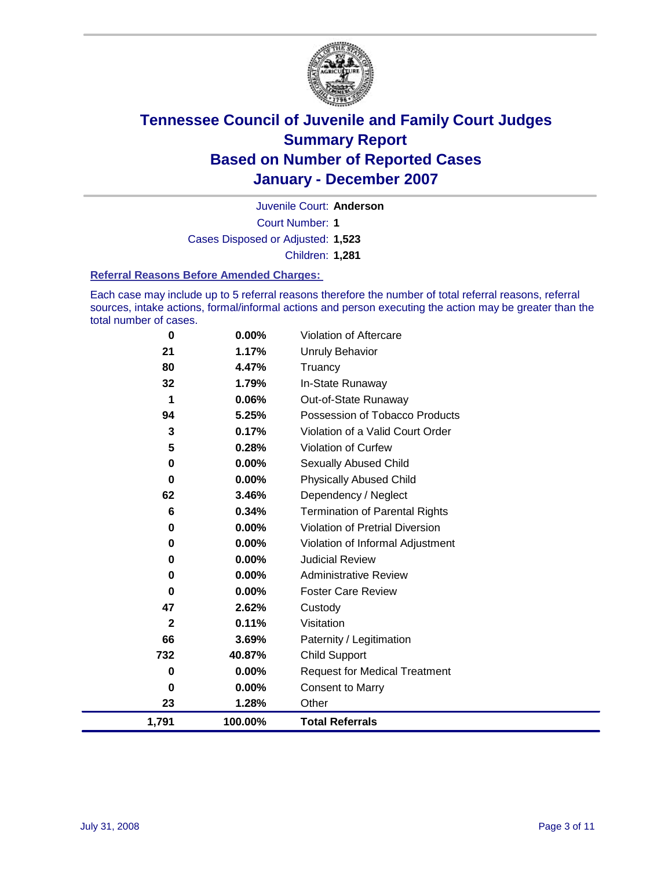

Court Number: **1** Juvenile Court: **Anderson** Cases Disposed or Adjusted: **1,523** Children: **1,281**

#### **Referral Reasons Before Amended Charges:**

Each case may include up to 5 referral reasons therefore the number of total referral reasons, referral sources, intake actions, formal/informal actions and person executing the action may be greater than the total number of cases.

| 0           | 0.00%   | Violation of Aftercare                 |
|-------------|---------|----------------------------------------|
| 21          | 1.17%   | <b>Unruly Behavior</b>                 |
| 80          | 4.47%   | Truancy                                |
| 32          | 1.79%   | In-State Runaway                       |
| 1           | 0.06%   | Out-of-State Runaway                   |
| 94          | 5.25%   | Possession of Tobacco Products         |
| 3           | 0.17%   | Violation of a Valid Court Order       |
| 5           | 0.28%   | Violation of Curfew                    |
| 0           | 0.00%   | <b>Sexually Abused Child</b>           |
| 0           | 0.00%   | <b>Physically Abused Child</b>         |
| 62          | 3.46%   | Dependency / Neglect                   |
| 6           | 0.34%   | <b>Termination of Parental Rights</b>  |
| 0           | 0.00%   | <b>Violation of Pretrial Diversion</b> |
| 0           | 0.00%   | Violation of Informal Adjustment       |
| 0           | 0.00%   | <b>Judicial Review</b>                 |
| 0           | 0.00%   | <b>Administrative Review</b>           |
| 0           | 0.00%   | <b>Foster Care Review</b>              |
| 47          | 2.62%   | Custody                                |
| $\mathbf 2$ | 0.11%   | Visitation                             |
| 66          | 3.69%   | Paternity / Legitimation               |
| 732         | 40.87%  | <b>Child Support</b>                   |
| 0           | 0.00%   | <b>Request for Medical Treatment</b>   |
| 0           | 0.00%   | <b>Consent to Marry</b>                |
| 23          | 1.28%   | Other                                  |
| 1,791       | 100.00% | <b>Total Referrals</b>                 |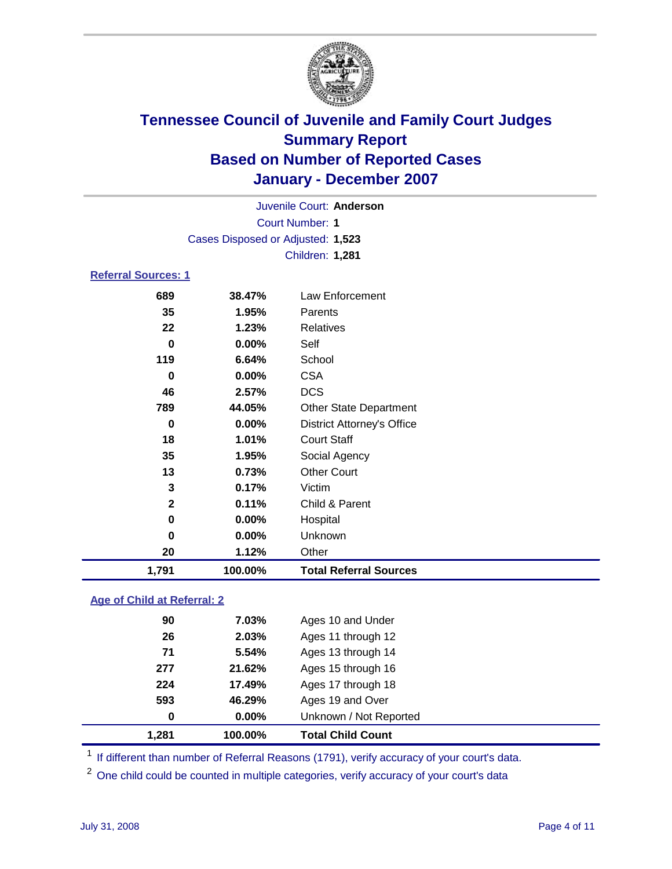

|                     |                                   | Juvenile Court: Anderson          |  |
|---------------------|-----------------------------------|-----------------------------------|--|
|                     |                                   | <b>Court Number: 1</b>            |  |
|                     | Cases Disposed or Adjusted: 1,523 |                                   |  |
|                     |                                   | <b>Children: 1,281</b>            |  |
| Referral Sources: 1 |                                   |                                   |  |
| 689                 | 38.47%                            | Law Enforcement                   |  |
| 35                  | 1.95%                             | Parents                           |  |
| 22                  | 1.23%                             | Relatives                         |  |
| 0                   | $0.00\%$                          | Self                              |  |
| 119                 | 6.64%                             | School                            |  |
| $\bf{0}$            | 0.00%                             | <b>CSA</b>                        |  |
| 46                  | 2.57%                             | <b>DCS</b>                        |  |
| 789                 | 44.05%                            | <b>Other State Department</b>     |  |
| 0                   | 0.00%                             | <b>District Attorney's Office</b> |  |
| 18                  | 1.01%                             | <b>Court Staff</b>                |  |
| 35                  | 1.95%                             | Social Agency                     |  |
| 13                  | 0.73%                             | <b>Other Court</b>                |  |
| 3                   | 0.17%                             | Victim                            |  |
| $\mathbf{2}$        | 0.11%                             | Child & Parent                    |  |
| 0                   | $0.00\%$                          | Hospital                          |  |

 **0.00%** Unknown **1.12%** Other **1,791 100.00% Total Referral Sources**

### **Age of Child at Referral: 2**

| 1,281 | 100.00% | <b>Total Child Count</b> |  |
|-------|---------|--------------------------|--|
| 0     | 0.00%   | Unknown / Not Reported   |  |
| 593   | 46.29%  | Ages 19 and Over         |  |
| 224   | 17.49%  | Ages 17 through 18       |  |
| 277   | 21.62%  | Ages 15 through 16       |  |
| 71    | 5.54%   | Ages 13 through 14       |  |
| 26    | 2.03%   | Ages 11 through 12       |  |
| 90    | 7.03%   | Ages 10 and Under        |  |
|       |         |                          |  |

<sup>1</sup> If different than number of Referral Reasons (1791), verify accuracy of your court's data.

<sup>2</sup> One child could be counted in multiple categories, verify accuracy of your court's data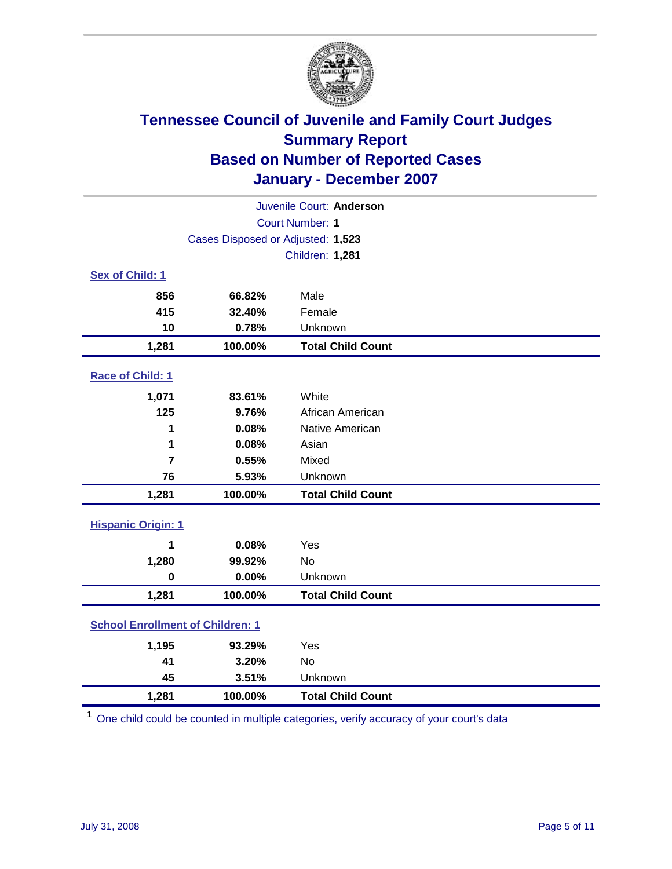

| Juvenile Court: Anderson                |                                   |                          |  |  |  |
|-----------------------------------------|-----------------------------------|--------------------------|--|--|--|
| <b>Court Number: 1</b>                  |                                   |                          |  |  |  |
|                                         | Cases Disposed or Adjusted: 1,523 |                          |  |  |  |
|                                         | Children: 1,281                   |                          |  |  |  |
| Sex of Child: 1                         |                                   |                          |  |  |  |
| 856                                     | 66.82%                            | Male                     |  |  |  |
| 415                                     | 32.40%                            | Female                   |  |  |  |
| 10                                      | 0.78%                             | Unknown                  |  |  |  |
| 1,281                                   | 100.00%                           | <b>Total Child Count</b> |  |  |  |
| Race of Child: 1                        |                                   |                          |  |  |  |
| 1,071                                   | 83.61%                            | White                    |  |  |  |
| 125                                     | 9.76%                             | African American         |  |  |  |
| 1                                       | 0.08%                             | Native American          |  |  |  |
| 1                                       | 0.08%                             | Asian                    |  |  |  |
| $\overline{7}$                          | 0.55%                             | Mixed                    |  |  |  |
| 76                                      | 5.93%                             | Unknown                  |  |  |  |
| 1,281                                   | 100.00%                           | <b>Total Child Count</b> |  |  |  |
| <b>Hispanic Origin: 1</b>               |                                   |                          |  |  |  |
| 1                                       | 0.08%                             | Yes                      |  |  |  |
| 1,280                                   | 99.92%                            | <b>No</b>                |  |  |  |
| $\mathbf 0$                             | 0.00%                             | Unknown                  |  |  |  |
| 1,281                                   | 100.00%                           | <b>Total Child Count</b> |  |  |  |
| <b>School Enrollment of Children: 1</b> |                                   |                          |  |  |  |
| 1,195                                   | 93.29%                            | Yes                      |  |  |  |
| 41                                      | 3.20%                             | No                       |  |  |  |
| 45                                      | 3.51%                             | Unknown                  |  |  |  |
| 1,281                                   | 100.00%                           | <b>Total Child Count</b> |  |  |  |

<sup>1</sup> One child could be counted in multiple categories, verify accuracy of your court's data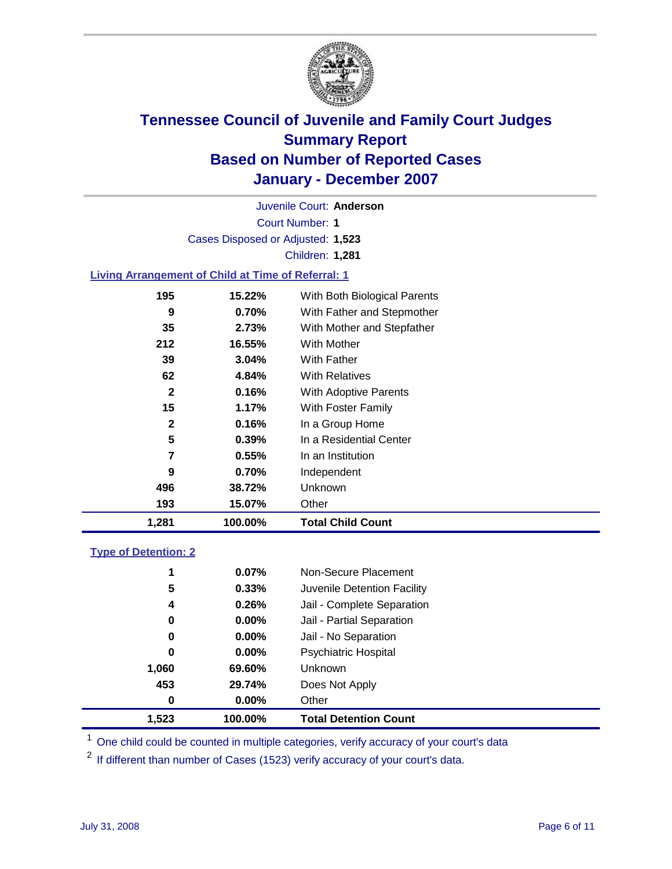

Court Number: **1** Juvenile Court: **Anderson** Cases Disposed or Adjusted: **1,523** Children: **1,281 Living Arrangement of Child at Time of Referral: 1 195 15.22%** With Both Biological Parents **9 0.70%** With Father and Stepmother

| 1,281 | 100.00%     | <b>Total Child Count</b>   |
|-------|-------------|----------------------------|
| 193   | 15.07%      | Other                      |
| 496   | 38.72%      | Unknown                    |
|       | 9<br>0.70%  | Independent                |
|       | 7<br>0.55%  | In an Institution          |
|       | 5<br>0.39%  | In a Residential Center    |
|       | 2<br>0.16%  | In a Group Home            |
|       | 15<br>1.17% | With Foster Family         |
|       | 2<br>0.16%  | With Adoptive Parents      |
|       | 62<br>4.84% | <b>With Relatives</b>      |
|       | 39<br>3.04% | With Father                |
| 212   | 16.55%      | With Mother                |
|       | 2.73%<br>35 | With Mother and Stepfather |
|       |             |                            |

### **Type of Detention: 2**

| 1.523 | 100.00%  | <b>Total Detention Count</b> |  |
|-------|----------|------------------------------|--|
| 0     | $0.00\%$ | Other                        |  |
| 453   | 29.74%   | Does Not Apply               |  |
| 1,060 | 69.60%   | <b>Unknown</b>               |  |
| 0     | 0.00%    | <b>Psychiatric Hospital</b>  |  |
| 0     | $0.00\%$ | Jail - No Separation         |  |
| 0     | $0.00\%$ | Jail - Partial Separation    |  |
| 4     | 0.26%    | Jail - Complete Separation   |  |
| 5     | 0.33%    | Juvenile Detention Facility  |  |
| 1     | 0.07%    | Non-Secure Placement         |  |
|       |          |                              |  |

<sup>1</sup> One child could be counted in multiple categories, verify accuracy of your court's data

<sup>2</sup> If different than number of Cases (1523) verify accuracy of your court's data.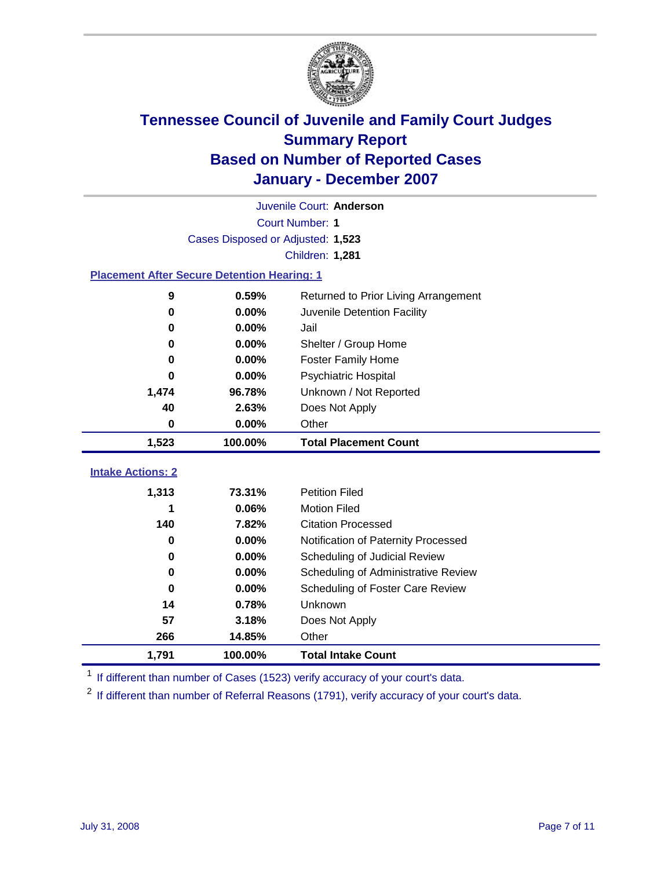

| Juvenile Court: Anderson                           |                                   |                                      |  |  |  |
|----------------------------------------------------|-----------------------------------|--------------------------------------|--|--|--|
| Court Number: 1                                    |                                   |                                      |  |  |  |
|                                                    | Cases Disposed or Adjusted: 1,523 |                                      |  |  |  |
|                                                    |                                   | <b>Children: 1,281</b>               |  |  |  |
| <b>Placement After Secure Detention Hearing: 1</b> |                                   |                                      |  |  |  |
| 9                                                  | 0.59%                             | Returned to Prior Living Arrangement |  |  |  |
| 0                                                  | 0.00%                             | Juvenile Detention Facility          |  |  |  |
| 0                                                  | 0.00%                             | Jail                                 |  |  |  |
| 0                                                  | 0.00%                             | Shelter / Group Home                 |  |  |  |
| $\bf{0}$                                           | 0.00%                             | <b>Foster Family Home</b>            |  |  |  |
| $\bf{0}$                                           | 0.00%                             | Psychiatric Hospital                 |  |  |  |
| 1,474                                              | 96.78%                            | Unknown / Not Reported               |  |  |  |
| 40                                                 | 2.63%                             | Does Not Apply                       |  |  |  |
| 0                                                  | 0.00%                             | Other                                |  |  |  |
|                                                    |                                   |                                      |  |  |  |
| 1,523                                              | 100.00%                           | <b>Total Placement Count</b>         |  |  |  |
|                                                    |                                   |                                      |  |  |  |
| <b>Intake Actions: 2</b>                           |                                   |                                      |  |  |  |
| 1,313                                              | 73.31%                            | <b>Petition Filed</b>                |  |  |  |
| 1                                                  | 0.06%                             | <b>Motion Filed</b>                  |  |  |  |
| 140                                                | 7.82%                             | <b>Citation Processed</b>            |  |  |  |
| 0                                                  | 0.00%                             | Notification of Paternity Processed  |  |  |  |
| $\bf{0}$                                           | 0.00%                             | Scheduling of Judicial Review        |  |  |  |
| 0<br>$\bf{0}$                                      | 0.00%                             | Scheduling of Administrative Review  |  |  |  |
|                                                    | 0.00%                             | Scheduling of Foster Care Review     |  |  |  |
| 14<br>57                                           | 0.78%                             | Unknown                              |  |  |  |
| 266                                                | 3.18%<br>14.85%                   | Does Not Apply<br>Other              |  |  |  |

<sup>1</sup> If different than number of Cases (1523) verify accuracy of your court's data.

<sup>2</sup> If different than number of Referral Reasons (1791), verify accuracy of your court's data.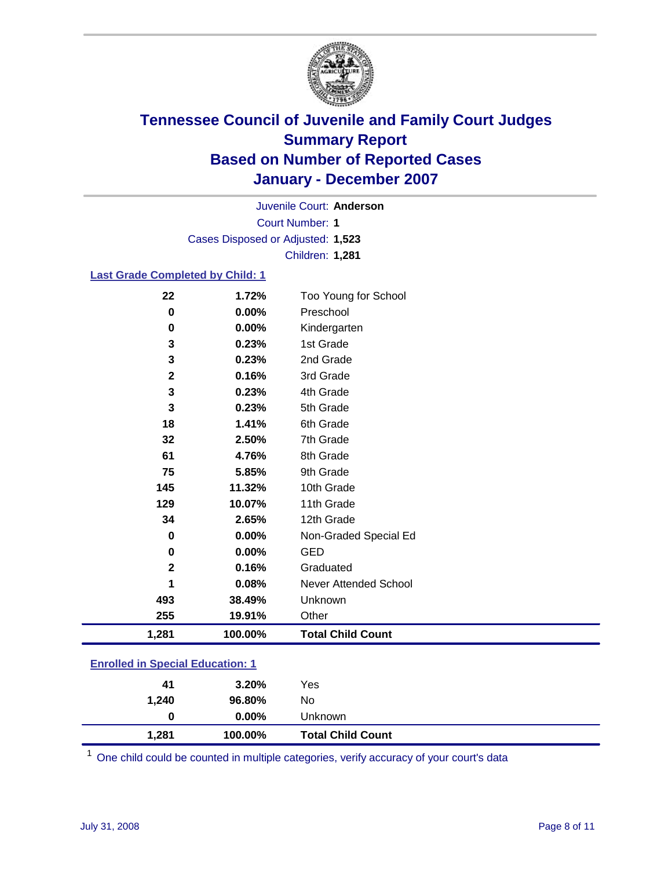

Court Number: **1** Juvenile Court: **Anderson** Cases Disposed or Adjusted: **1,523** Children: **1,281**

#### **Last Grade Completed by Child: 1**

| 22           | 1.72%   | Too Young for School     |
|--------------|---------|--------------------------|
| 0            | 0.00%   | Preschool                |
| 0            | 0.00%   | Kindergarten             |
| 3            | 0.23%   | 1st Grade                |
| $\mathbf{3}$ | 0.23%   | 2nd Grade                |
| $\mathbf 2$  | 0.16%   | 3rd Grade                |
| 3            | 0.23%   | 4th Grade                |
| 3            | 0.23%   | 5th Grade                |
| 18           | 1.41%   | 6th Grade                |
| 32           | 2.50%   | 7th Grade                |
| 61           | 4.76%   | 8th Grade                |
| 75           | 5.85%   | 9th Grade                |
| 145          | 11.32%  | 10th Grade               |
| 129          | 10.07%  | 11th Grade               |
| 34           | 2.65%   | 12th Grade               |
| 0            | 0.00%   | Non-Graded Special Ed    |
| 0            | 0.00%   | <b>GED</b>               |
| $\mathbf 2$  | 0.16%   | Graduated                |
| 1            | 0.08%   | Never Attended School    |
| 493          | 38.49%  | Unknown                  |
| 255          | 19.91%  | Other                    |
| 1,281        | 100.00% | <b>Total Child Count</b> |

### **Enrolled in Special Education: 1**

| 41    | 3.20%    | Yes                      |
|-------|----------|--------------------------|
| 1,240 | 96.80%   | No                       |
|       | $0.00\%$ | Unknown                  |
| 1,281 | 100.00%  | <b>Total Child Count</b> |

One child could be counted in multiple categories, verify accuracy of your court's data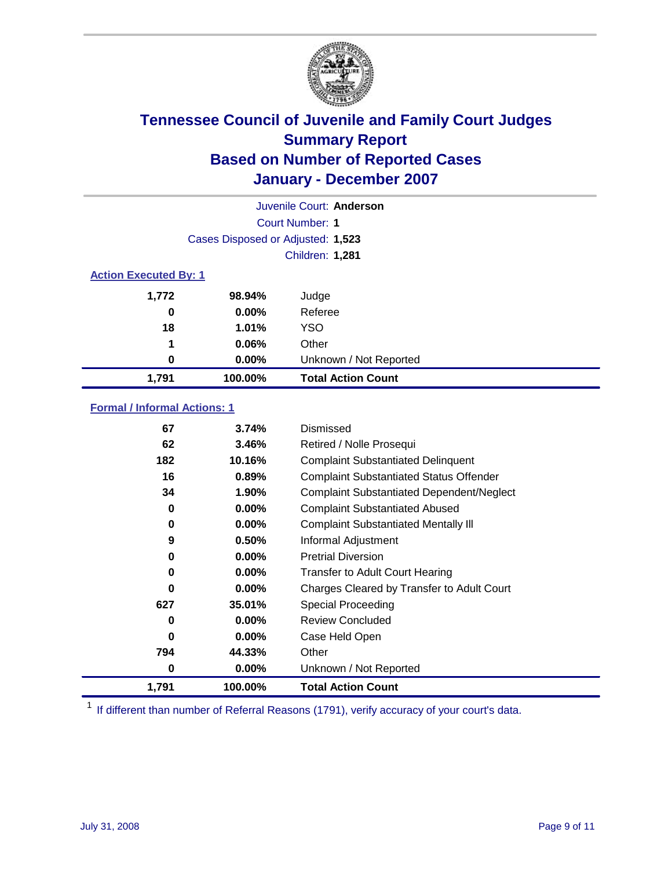

| Juvenile Court: Anderson |                                   |                           |  |  |  |
|--------------------------|-----------------------------------|---------------------------|--|--|--|
|                          | Court Number: 1                   |                           |  |  |  |
|                          | Cases Disposed or Adjusted: 1,523 |                           |  |  |  |
|                          | <b>Children: 1,281</b>            |                           |  |  |  |
|                          | <b>Action Executed By: 1</b>      |                           |  |  |  |
| 1,772                    | 98.94%                            | Judge                     |  |  |  |
| 0                        | $0.00\%$                          | Referee                   |  |  |  |
| 18                       | 1.01%                             | <b>YSO</b>                |  |  |  |
| 1                        | 0.06%                             | Other                     |  |  |  |
| 0                        | $0.00\%$                          | Unknown / Not Reported    |  |  |  |
| 1,791                    | 100.00%                           | <b>Total Action Count</b> |  |  |  |

### **Formal / Informal Actions: 1**

| 67       | 3.74%    | Dismissed                                        |
|----------|----------|--------------------------------------------------|
| 62       | 3.46%    | Retired / Nolle Prosequi                         |
| 182      | 10.16%   | <b>Complaint Substantiated Delinquent</b>        |
| 16       | 0.89%    | <b>Complaint Substantiated Status Offender</b>   |
| 34       | 1.90%    | <b>Complaint Substantiated Dependent/Neglect</b> |
| 0        | $0.00\%$ | <b>Complaint Substantiated Abused</b>            |
| 0        | $0.00\%$ | <b>Complaint Substantiated Mentally III</b>      |
| 9        | 0.50%    | Informal Adjustment                              |
| 0        | $0.00\%$ | <b>Pretrial Diversion</b>                        |
| 0        | $0.00\%$ | <b>Transfer to Adult Court Hearing</b>           |
| 0        | $0.00\%$ | Charges Cleared by Transfer to Adult Court       |
| 627      | 35.01%   | Special Proceeding                               |
| 0        | $0.00\%$ | <b>Review Concluded</b>                          |
| $\bf{0}$ | $0.00\%$ | Case Held Open                                   |
| 794      | 44.33%   | Other                                            |
| 0        | 0.00%    | Unknown / Not Reported                           |
| 1,791    | 100.00%  | <b>Total Action Count</b>                        |

<sup>1</sup> If different than number of Referral Reasons (1791), verify accuracy of your court's data.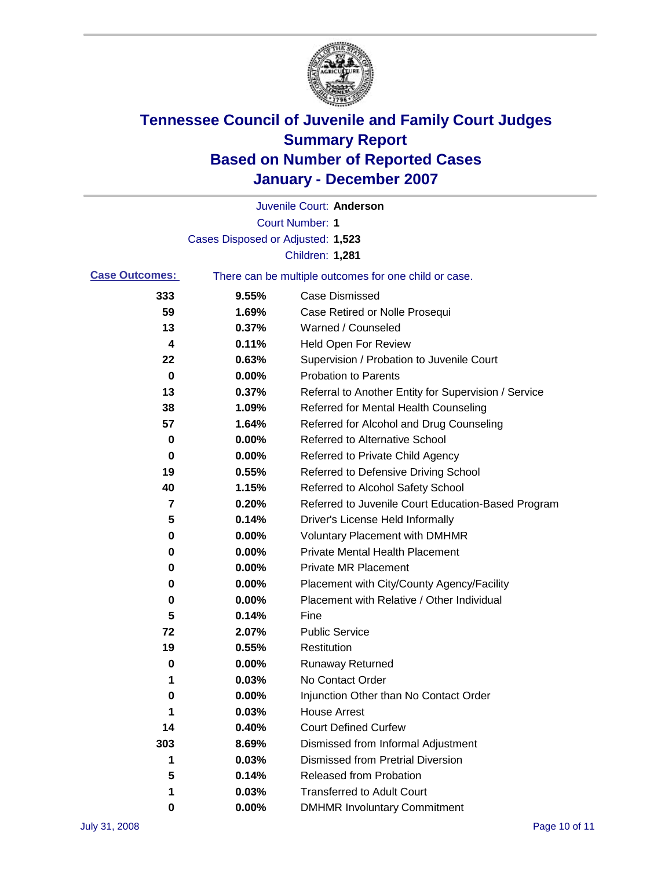

|                       |                                   | Juvenile Court: Anderson                              |
|-----------------------|-----------------------------------|-------------------------------------------------------|
|                       |                                   | Court Number: 1                                       |
|                       | Cases Disposed or Adjusted: 1,523 |                                                       |
|                       |                                   | <b>Children: 1,281</b>                                |
| <b>Case Outcomes:</b> |                                   | There can be multiple outcomes for one child or case. |
| 333                   | 9.55%                             | <b>Case Dismissed</b>                                 |
| 59                    | 1.69%                             | Case Retired or Nolle Prosequi                        |
| 13                    | 0.37%                             | Warned / Counseled                                    |
| 4                     | 0.11%                             | Held Open For Review                                  |
| 22                    | 0.63%                             | Supervision / Probation to Juvenile Court             |
| 0                     | 0.00%                             | <b>Probation to Parents</b>                           |
| 13                    | 0.37%                             | Referral to Another Entity for Supervision / Service  |
| 38                    | 1.09%                             | Referred for Mental Health Counseling                 |
| 57                    | 1.64%                             | Referred for Alcohol and Drug Counseling              |
| 0                     | 0.00%                             | <b>Referred to Alternative School</b>                 |
| 0                     | 0.00%                             | Referred to Private Child Agency                      |
| 19                    | 0.55%                             | Referred to Defensive Driving School                  |
| 40                    | 1.15%                             | Referred to Alcohol Safety School                     |
| 7                     | 0.20%                             | Referred to Juvenile Court Education-Based Program    |
| 5                     | 0.14%                             | Driver's License Held Informally                      |
| 0                     | 0.00%                             | <b>Voluntary Placement with DMHMR</b>                 |
| 0                     | 0.00%                             | <b>Private Mental Health Placement</b>                |
| 0                     | 0.00%                             | <b>Private MR Placement</b>                           |
| 0                     | 0.00%                             | Placement with City/County Agency/Facility            |
| 0                     | 0.00%                             | Placement with Relative / Other Individual            |
| 5                     | 0.14%                             | Fine                                                  |
| 72                    | 2.07%                             | <b>Public Service</b>                                 |
| 19                    | 0.55%                             | Restitution                                           |
| 0                     | 0.00%                             | <b>Runaway Returned</b>                               |
| 1                     | 0.03%                             | No Contact Order                                      |
| $\boldsymbol{0}$      | 0.00%                             | Injunction Other than No Contact Order                |
| 1                     | 0.03%                             | <b>House Arrest</b>                                   |
| 14                    | 0.40%                             | <b>Court Defined Curfew</b>                           |
| 303                   | 8.69%                             | Dismissed from Informal Adjustment                    |
| 1                     | 0.03%                             | <b>Dismissed from Pretrial Diversion</b>              |
| 5                     | 0.14%                             | Released from Probation                               |
| 1                     | 0.03%                             | <b>Transferred to Adult Court</b>                     |
| 0                     | 0.00%                             | <b>DMHMR Involuntary Commitment</b>                   |